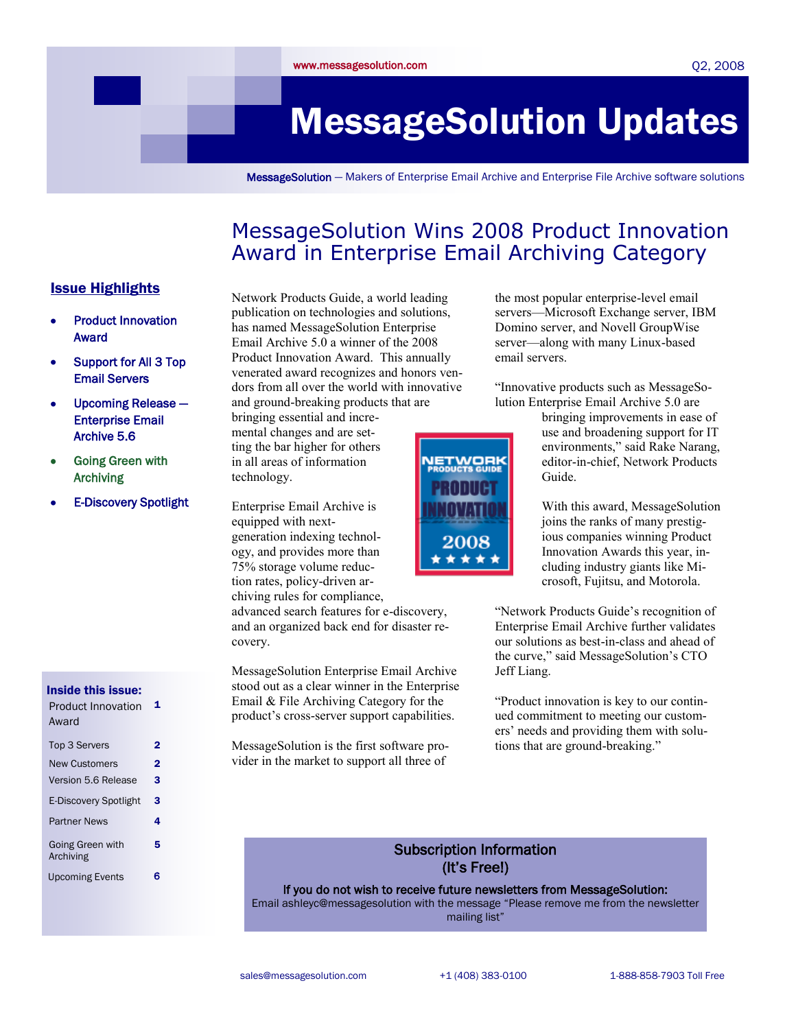# MessageSolution Updates

MessageSolution — Makers of Enterprise Email Archive and Enterprise File Archive software solutions

### MessageSolution Wins 2008 Product Innovation Award in Enterprise Email Archiving Category

### Issue Highlights

- Product Innovation Award
- Support for All 3 Top Email Servers
- Upcoming Release Enterprise Email Archive 5.6
- Going Green with Archiving
- E-Discovery Spotlight

#### Inside this issue:

| <b>Product Innovation</b><br>Award | 1 |
|------------------------------------|---|
| <b>Top 3 Servers</b>               | 2 |
| <b>New Customers</b>               | 2 |
| Version 5.6 Release                | 3 |
| <b>E-Discovery Spotlight</b>       | 3 |
| <b>Partner News</b>                | 4 |
| Going Green with<br>Archiving      | 5 |
| <b>Upcoming Events</b>             |   |

Network Products Guide, a world leading publication on technologies and solutions, has named MessageSolution Enterprise Email Archive 5.0 a winner of the 2008 Product Innovation Award. This annually venerated award recognizes and honors vendors from all over the world with innovative and ground-breaking products that are

bringing essential and incremental changes and are setting the bar higher for others in all areas of information technology.

Enterprise Email Archive is equipped with nextgeneration indexing technology, and provides more than 75% storage volume reduction rates, policy-driven archiving rules for compliance,

advanced search features for e-discovery, and an organized back end for disaster recovery.

MessageSolution Enterprise Email Archive stood out as a clear winner in the Enterprise Email & File Archiving Category for the product's cross-server support capabilities.

MessageSolution is the first software provider in the market to support all three of



the most popular enterprise-level email servers—Microsoft Exchange server, IBM Domino server, and Novell GroupWise server—along with many Linux-based email servers.

―Innovative products such as MessageSolution Enterprise Email Archive 5.0 are

> bringing improvements in ease of use and broadening support for IT environments," said Rake Narang, editor-in-chief, Network Products Guide.

> With this award, MessageSolution joins the ranks of many prestigious companies winning Product Innovation Awards this year, including industry giants like Microsoft, Fujitsu, and Motorola.

―Network Products Guide's recognition of Enterprise Email Archive further validates our solutions as best-in-class and ahead of the curve," said MessageSolution's CTO Jeff Liang.

―Product innovation is key to our continued commitment to meeting our customers' needs and providing them with solutions that are ground-breaking."

### Subscription Information (It's Free!)

If you do not wish to receive future newsletters from MessageSolution:

Email ashleyc@messagesolution with the message "Please remove me from the newsletter mailing list"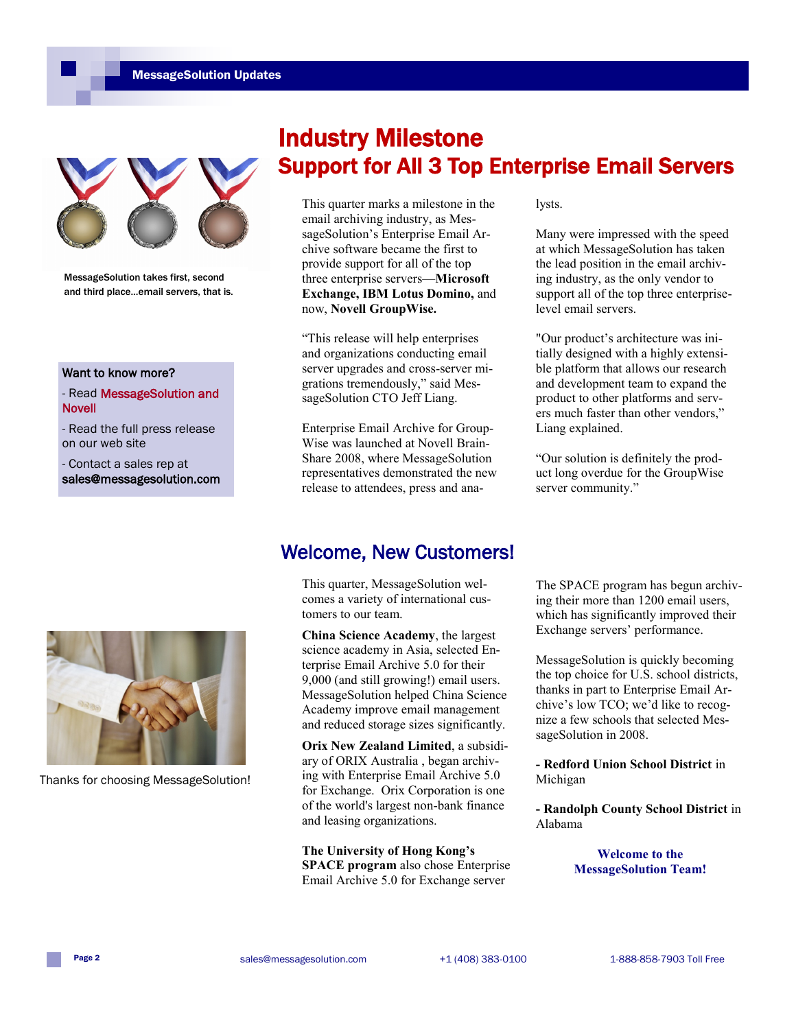

MessageSolution takes first, second and third place...email servers, that is.

#### Want to know more?

- Read MessageSolution and Novell

- Read the full press release on our web site

- Contact a sales rep at sales@messagesolution.com

### Industry Milestone Support for All 3 Top Enterprise Email Servers

This quarter marks a milestone in the email archiving industry, as MessageSolution's Enterprise Email Archive software became the first to provide support for all of the top three enterprise servers—**Microsoft Exchange, IBM Lotus Domino,** and now, **Novell GroupWise.** 

―This release will help enterprises and organizations conducting email server upgrades and cross-server migrations tremendously," said MessageSolution CTO Jeff Liang.

Enterprise Email Archive for Group-Wise was launched at Novell Brain-Share 2008, where MessageSolution representatives demonstrated the new release to attendees, press and analysts.

Many were impressed with the speed at which MessageSolution has taken the lead position in the email archiving industry, as the only vendor to support all of the top three enterpriselevel email servers.

"Our product's architecture was initially designed with a highly extensible platform that allows our research and development team to expand the product to other platforms and servers much faster than other vendors." Liang explained.

―Our solution is definitely the product long overdue for the GroupWise server community."



Thanks for choosing MessageSolution!

### Welcome, New Customers!

This quarter, MessageSolution welcomes a variety of international customers to our team.

**China Science Academy**, the largest science academy in Asia, selected Enterprise Email Archive 5.0 for their 9,000 (and still growing!) email users. MessageSolution helped China Science Academy improve email management and reduced storage sizes significantly.

**Orix New Zealand Limited**, a subsidiary of ORIX Australia , began archiving with Enterprise Email Archive 5.0 for Exchange. Orix Corporation is one of the world's largest non-bank finance and leasing organizations.

**The University of Hong Kong's SPACE program** also chose Enterprise Email Archive 5.0 for Exchange server

The SPACE program has begun archiving their more than 1200 email users, which has significantly improved their Exchange servers' performance.

MessageSolution is quickly becoming the top choice for U.S. school districts, thanks in part to Enterprise Email Archive's low TCO; we'd like to recognize a few schools that selected MessageSolution in 2008.

**- Redford Union School District** in Michigan

**- Randolph County School District** in Alabama

> **Welcome to the MessageSolution Team!**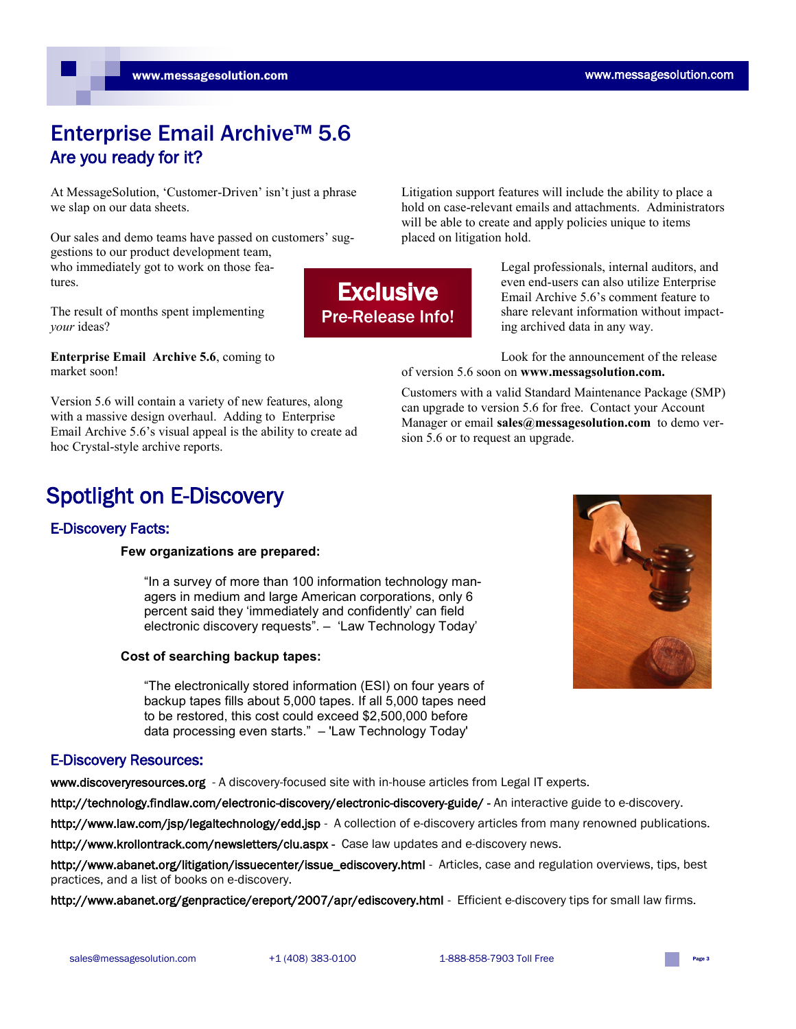### Enterprise Email Archive™ 5.6 Are you ready for it?

At MessageSolution, 'Customer-Driven' isn't just a phrase we slap on our data sheets.

Our sales and demo teams have passed on customers' suggestions to our product development team, who immediately got to work on those features.

The result of months spent implementing *your* ideas?

**Enterprise Email Archive 5.6**, coming to market soon!

Version 5.6 will contain a variety of new features, along with a massive design overhaul. Adding to Enterprise Email Archive 5.6's visual appeal is the ability to create ad hoc Crystal-style archive reports.

### Spotlight on E-Discovery

### E-Discovery Facts:

#### **Few organizations are prepared:**

"In a survey of more than 100 information technology managers in medium and large American corporations, only 6 percent said they "immediately and confidently" can field electronic discovery requests". – "Law Technology Today"

#### **Cost of searching backup tapes:**

"The electronically stored information (ESI) on four years of backup tapes fills about 5,000 tapes. If all 5,000 tapes need to be restored, this cost could exceed \$2,500,000 before data processing even starts." – 'Law Technology Today'

### E-Discovery Resources:

www.discoveryresources.org - A discovery-focused site with in-house articles from Legal IT experts.

http://technology.findlaw.com/electronic-discovery/electronic-discovery-guide/ - An interactive guide to e-discovery.

http://www.law.com/jsp/legaltechnology/edd.jsp - A collection of e-discovery articles from many renowned publications.

http://www.krollontrack.com/newsletters/clu.aspx - Case law updates and e-discovery news.

http://www.abanet.org/litigation/issuecenter/issue\_ediscovery.html - Articles, case and regulation overviews, tips, best practices, and a list of books on e-discovery.

http://www.abanet.org/genpractice/ereport/2007/apr/ediscovery.html - Efficient e-discovery tips for small law firms.



**Exclusive** Pre-Release Info!

placed on litigation hold.

Legal professionals, internal auditors, and even end-users can also utilize Enterprise Email Archive 5.6's comment feature to

share relevant information without impacting archived data in any way.

Look for the announcement of the release of version 5.6 soon on **www.messagsolution.com.**

Litigation support features will include the ability to place a hold on case-relevant emails and attachments. Administrators will be able to create and apply policies unique to items

can upgrade to version 5.6 for free. Contact your Account Manager or email sales@messagesolution.com to demo version 5.6 or to request an upgrade. Customers with a valid Standard Maintenance Package (SMP)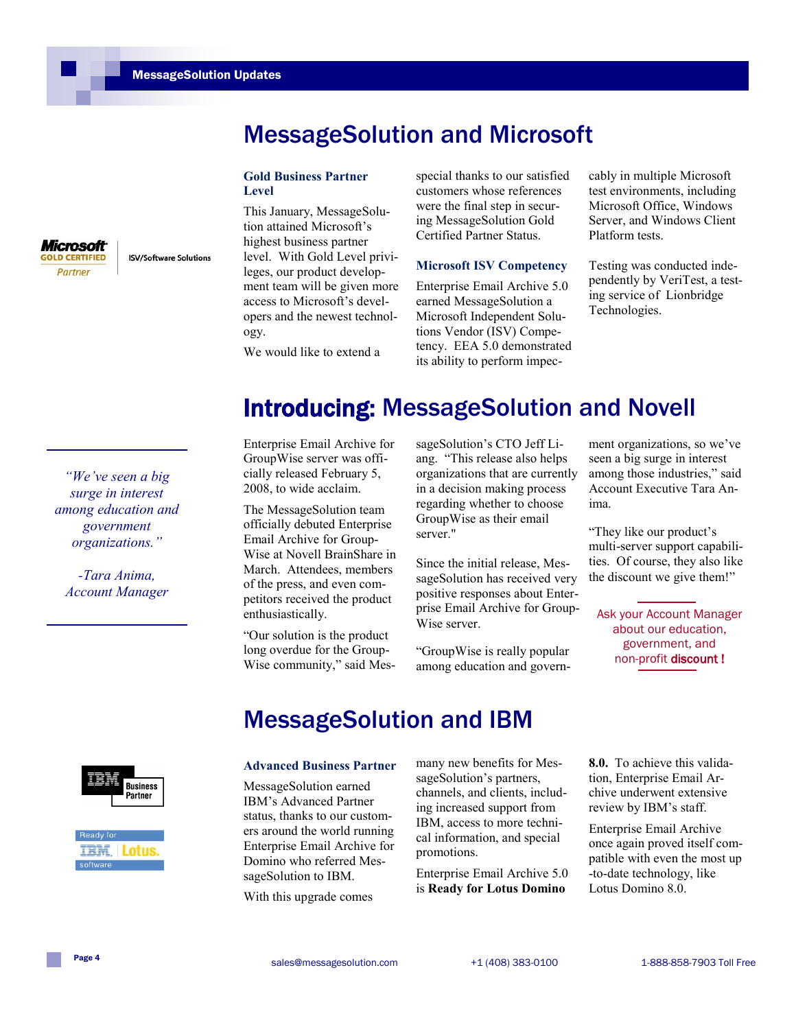*Microsoft* **GOLD CERTIFIED** Partner

**ISV/Software Solutions** 

# MessageSolution and Microsoft

#### **Gold Business Partner Level**

This January, MessageSolution attained Microsoft's highest business partner level. With Gold Level privileges, our product development team will be given more access to Microsoft's developers and the newest technology.

special thanks to our satisfied customers whose references were the final step in securing MessageSolution Gold Certified Partner Status.

#### **Microsoft ISV Competency**

Enterprise Email Archive 5.0 earned MessageSolution a Microsoft Independent Solutions Vendor (ISV) Competency. EEA 5.0 demonstrated its ability to perform impeccably in multiple Microsoft test environments, including Microsoft Office, Windows Server, and Windows Client Platform tests.

Testing was conducted independently by VeriTest, a testing service of Lionbridge Technologies.

We would like to extend a

# Introducing: MessageSolution and Novell

*"We've seen a big surge in interest among education and government organizations."*

*-Tara Anima, Account Manager* Enterprise Email Archive for GroupWise server was officially released February 5, 2008, to wide acclaim.

The MessageSolution team officially debuted Enterprise Email Archive for Group-Wise at Novell BrainShare in March. Attendees, members of the press, and even competitors received the product enthusiastically.

―Our solution is the product long overdue for the Group-Wise community," said MessageSolution's CTO Jeff Liang. "This release also helps organizations that are currently in a decision making process regarding whether to choose GroupWise as their email server."

Since the initial release, MessageSolution has received very positive responses about Enterprise Email Archive for Group-Wise server.

―GroupWise is really popular among education and government organizations, so we've seen a big surge in interest among those industries," said Account Executive Tara Anima.

―They like our product's multi-server support capabilities. Of course, they also like the discount we give them!"

Ask your Account Manager about our education, government, and non-profit discount !





# MessageSolution and IBM

#### **Advanced Business Partner**

MessageSolution earned IBM's Advanced Partner status, thanks to our customers around the world running Enterprise Email Archive for Domino who referred MessageSolution to IBM.

With this upgrade comes

many new benefits for MessageSolution's partners, channels, and clients, including increased support from IBM, access to more technical information, and special promotions.

Enterprise Email Archive 5.0 is **Ready for Lotus Domino** 

**8.0.** To achieve this validation, Enterprise Email Archive underwent extensive review by IBM's staff.

Enterprise Email Archive once again proved itself compatible with even the most up -to-date technology, like Lotus Domino 8.0.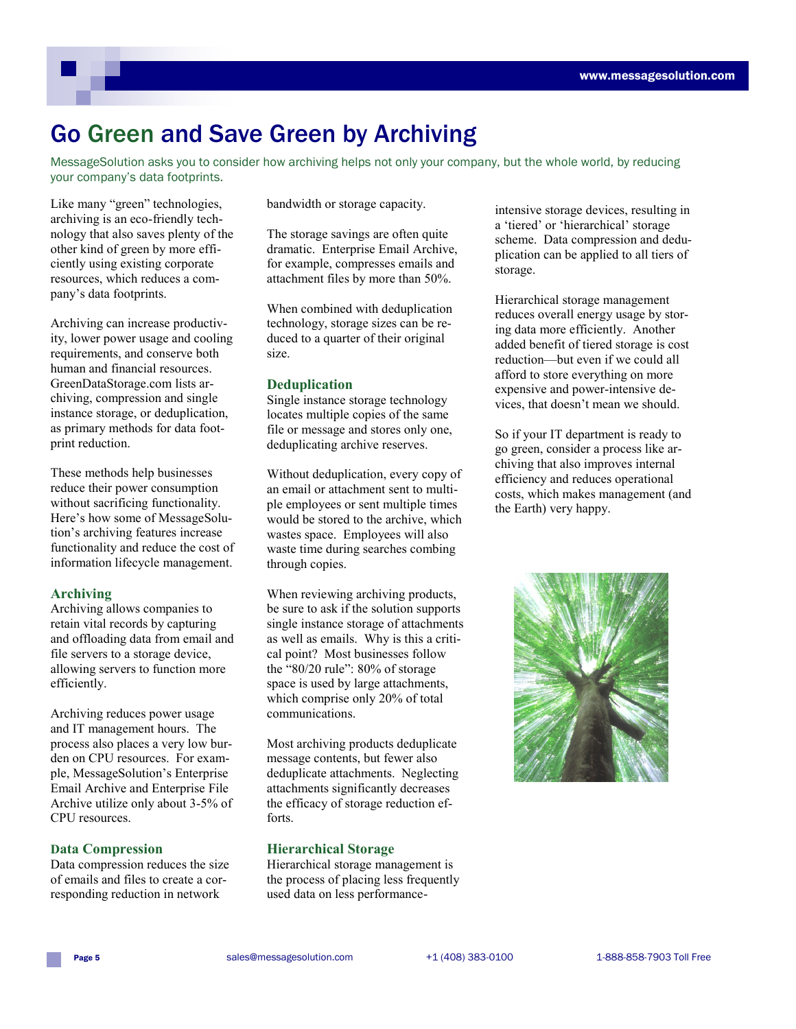## Go Green and Save Green by Archiving

MessageSolution asks you to consider how archiving helps not only your company, but the whole world, by reducing your company's data footprints.

Like many "green" technologies, archiving is an eco-friendly technology that also saves plenty of the other kind of green by more efficiently using existing corporate resources, which reduces a company's data footprints.

Archiving can increase productivity, lower power usage and cooling requirements, and conserve both human and financial resources. GreenDataStorage.com lists archiving, compression and single instance storage, or deduplication, as primary methods for data footprint reduction.

These methods help businesses reduce their power consumption without sacrificing functionality. Here's how some of MessageSolution's archiving features increase functionality and reduce the cost of information lifecycle management.

### **Archiving**

Archiving allows companies to retain vital records by capturing and offloading data from email and file servers to a storage device, allowing servers to function more efficiently.

Archiving reduces power usage and IT management hours. The process also places a very low burden on CPU resources. For example, MessageSolution's Enterprise Email Archive and Enterprise File Archive utilize only about 3-5% of CPU resources.

### **Data Compression**

Data compression reduces the size of emails and files to create a corresponding reduction in network

bandwidth or storage capacity.

The storage savings are often quite dramatic. Enterprise Email Archive, for example, compresses emails and attachment files by more than 50%.

When combined with deduplication technology, storage sizes can be reduced to a quarter of their original size.

### **Deduplication**

Single instance storage technology locates multiple copies of the same file or message and stores only one, deduplicating archive reserves.

Without deduplication, every copy of an email or attachment sent to multiple employees or sent multiple times would be stored to the archive, which wastes space. Employees will also waste time during searches combing through copies.

When reviewing archiving products, be sure to ask if the solution supports single instance storage of attachments as well as emails. Why is this a critical point? Most businesses follow the " $80/20$  rule":  $80\%$  of storage space is used by large attachments, which comprise only 20% of total communications.

Most archiving products deduplicate message contents, but fewer also deduplicate attachments. Neglecting attachments significantly decreases the efficacy of storage reduction efforts.

### **Hierarchical Storage**

Hierarchical storage management is the process of placing less frequently used data on less performanceintensive storage devices, resulting in a 'tiered' or 'hierarchical' storage scheme. Data compression and deduplication can be applied to all tiers of storage.

Hierarchical storage management reduces overall energy usage by storing data more efficiently. Another added benefit of tiered storage is cost reduction—but even if we could all afford to store everything on more expensive and power-intensive devices, that doesn't mean we should.

So if your IT department is ready to go green, consider a process like archiving that also improves internal efficiency and reduces operational costs, which makes management (and the Earth) very happy.